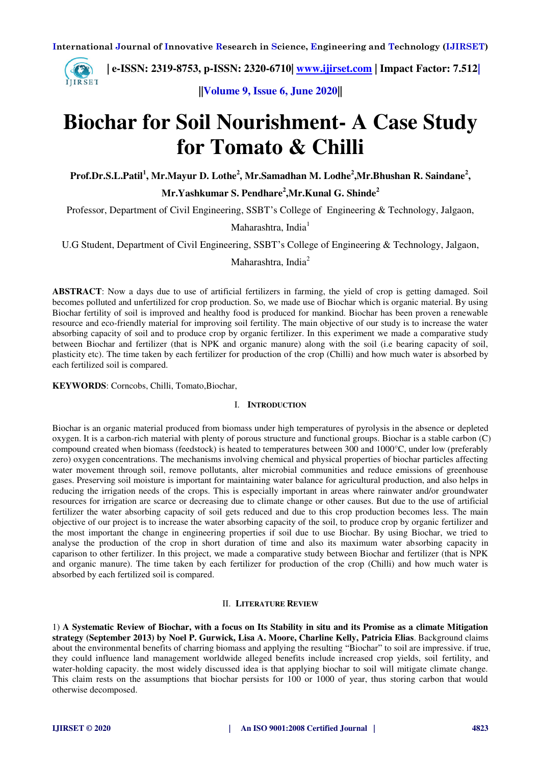

 **| e-ISSN: 2319-8753, p-ISSN: 2320-6710| [www.ijirset.com](http://www.ijirset.com/) | Impact Factor: 7.512|**

**||Volume 9, Issue 6, June 2020||** 

# **Biochar for Soil Nourishment- A Case Study for Tomato & Chilli**

Prof.Dr.S.L.Patil<sup>1</sup>, Mr.Mayur D. Lothe<sup>2</sup>, Mr.Samadhan M. Lodhe<sup>2</sup>,Mr.Bhushan R. Saindane<sup>2</sup>, **Mr.Yashkumar S. Pendhare<sup>2</sup> ,Mr.Kunal G. Shinde<sup>2</sup>**

Professor, Department of Civil Engineering, SSBT's College of Engineering & Technology, Jalgaon,

Maharashtra, India $<sup>1</sup>$ </sup>

U.G Student, Department of Civil Engineering, SSBT's College of Engineering & Technology, Jalgaon,

Maharashtra, India<sup>2</sup>

**ABSTRACT**: Now a days due to use of artificial fertilizers in farming, the yield of crop is getting damaged. Soil becomes polluted and unfertilized for crop production. So, we made use of Biochar which is organic material. By using Biochar fertility of soil is improved and healthy food is produced for mankind. Biochar has been proven a renewable resource and eco-friendly material for improving soil fertility. The main objective of our study is to increase the water absorbing capacity of soil and to produce crop by organic fertilizer. In this experiment we made a comparative study between Biochar and fertilizer (that is NPK and organic manure) along with the soil (i.e bearing capacity of soil, plasticity etc). The time taken by each fertilizer for production of the crop (Chilli) and how much water is absorbed by each fertilized soil is compared.

**KEYWORDS**: Corncobs, Chilli, Tomato,Biochar,

#### I. **INTRODUCTION**

Biochar is an organic material produced from biomass under high temperatures of pyrolysis in the absence or depleted oxygen. It is a carbon-rich material with plenty of porous structure and functional groups. Biochar is a stable carbon (C) compound created when biomass (feedstock) is heated to temperatures between 300 and 1000°C, under low (preferably zero) oxygen concentrations. The mechanisms involving chemical and physical properties of biochar particles affecting water movement through soil, remove pollutants, alter microbial communities and reduce emissions of greenhouse gases. Preserving soil moisture is important for maintaining water balance for agricultural production, and also helps in reducing the irrigation needs of the crops. This is especially important in areas where rainwater and/or groundwater resources for irrigation are scarce or decreasing due to climate change or other causes. But due to the use of artificial fertilizer the water absorbing capacity of soil gets reduced and due to this crop production becomes less. The main objective of our project is to increase the water absorbing capacity of the soil, to produce crop by organic fertilizer and the most important the change in engineering properties if soil due to use Biochar. By using Biochar, we tried to analyse the production of the crop in short duration of time and also its maximum water absorbing capacity in caparison to other fertilizer. In this project, we made a comparative study between Biochar and fertilizer (that is NPK and organic manure). The time taken by each fertilizer for production of the crop (Chilli) and how much water is absorbed by each fertilized soil is compared.

#### II. **LITERATURE REVIEW**

1) **A Systematic Review of Biochar, with a focus on Its Stability in situ and its Promise as a climate Mitigation strategy (September 2013) by Noel P. Gurwick, Lisa A. Moore, Charline Kelly, Patricia Elias**. Background claims about the environmental benefits of charring biomass and applying the resulting "Biochar" to soil are impressive. if true, they could influence land management worldwide alleged benefits include increased crop yields, soil fertility, and water-holding capacity. the most widely discussed idea is that applying biochar to soil will mitigate climate change. This claim rests on the assumptions that biochar persists for 100 or 1000 of year, thus storing carbon that would otherwise decomposed.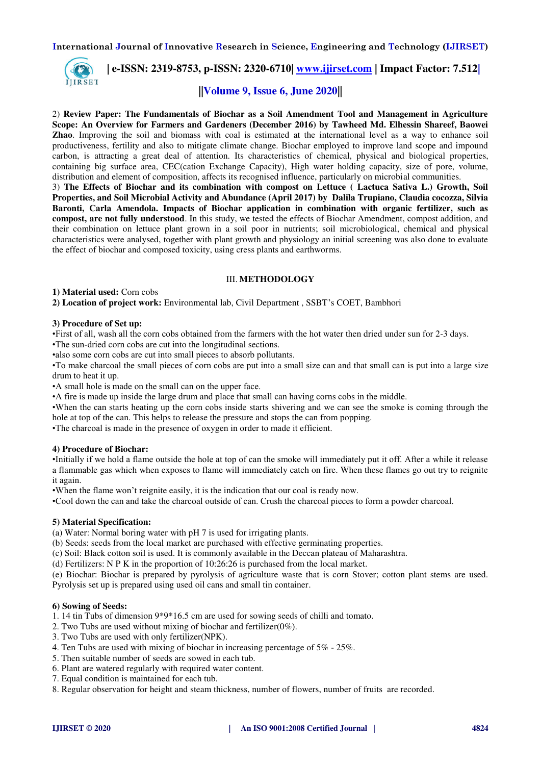

 **| e-ISSN: 2319-8753, p-ISSN: 2320-6710| [www.ijirset.com](http://www.ijirset.com/) | Impact Factor: 7.512|**

# **||Volume 9, Issue 6, June 2020||**

2) **Review Paper: The Fundamentals of Biochar as a Soil Amendment Tool and Management in Agriculture Scope: An Overview for Farmers and Gardeners (December 2016) by Tawheed Md. Elhessin Shareef, Baowei Zhao**. Improving the soil and biomass with coal is estimated at the international level as a way to enhance soil productiveness, fertility and also to mitigate climate change. Biochar employed to improve land scope and impound carbon, is attracting a great deal of attention. Its characteristics of chemical, physical and biological properties, containing big surface area, CEC(cation Exchange Capacity), High water holding capacity, size of pore, volume, distribution and element of composition, affects its recognised influence, particularly on microbial communities.

3) **The Effects of Biochar and its combination with compost on Lettuce ( Lactuca Sativa L.) Growth, Soil Properties, and Soil Microbial Activity and Abundance (April 2017) by Dalila Trupiano, Claudia cocozza, Silvia Baronti, Carla Amendola. Impacts of Biochar application in combination with organic fertilizer, such as compost, are not fully understood**. In this study, we tested the effects of Biochar Amendment, compost addition, and their combination on lettuce plant grown in a soil poor in nutrients; soil microbiological, chemical and physical characteristics were analysed, together with plant growth and physiology an initial screening was also done to evaluate the effect of biochar and composed toxicity, using cress plants and earthworms.

#### III. **METHODOLOGY**

**1) Material used:** Corn cobs

**2) Location of project work:** Environmental lab, Civil Department , SSBT's COET, Bambhori

#### **3) Procedure of Set up:**

•First of all, wash all the corn cobs obtained from the farmers with the hot water then dried under sun for 2-3 days.

•The sun-dried corn cobs are cut into the longitudinal sections.

•also some corn cobs are cut into small pieces to absorb pollutants.

•To make charcoal the small pieces of corn cobs are put into a small size can and that small can is put into a large size drum to heat it up.

•A small hole is made on the small can on the upper face.

•A fire is made up inside the large drum and place that small can having corns cobs in the middle.

•When the can starts heating up the corn cobs inside starts shivering and we can see the smoke is coming through the hole at top of the can. This helps to release the pressure and stops the can from popping.

•The charcoal is made in the presence of oxygen in order to made it efficient.

#### **4) Procedure of Biochar:**

•Initially if we hold a flame outside the hole at top of can the smoke will immediately put it off. After a while it release a flammable gas which when exposes to flame will immediately catch on fire. When these flames go out try to reignite it again.

•When the flame won't reignite easily, it is the indication that our coal is ready now.

•Cool down the can and take the charcoal outside of can. Crush the charcoal pieces to form a powder charcoal.

#### **5) Material Specification:**

(a) Water: Normal boring water with pH 7 is used for irrigating plants.

(b) Seeds: seeds from the local market are purchased with effective germinating properties.

(c) Soil: Black cotton soil is used. It is commonly available in the Deccan plateau of Maharashtra.

(d) Fertilizers: N P K in the proportion of 10:26:26 is purchased from the local market.

(e) Biochar: Biochar is prepared by pyrolysis of agriculture waste that is corn Stover; cotton plant stems are used. Pyrolysis set up is prepared using used oil cans and small tin container.

#### **6) Sowing of Seeds:**

1. 14 tin Tubs of dimension 9\*9\*16.5 cm are used for sowing seeds of chilli and tomato.

- 2. Two Tubs are used without mixing of biochar and fertilizer(0%).
- 3. Two Tubs are used with only fertilizer(NPK).
- 4. Ten Tubs are used with mixing of biochar in increasing percentage of 5% 25%.
- 5. Then suitable number of seeds are sowed in each tub.
- 6. Plant are watered regularly with required water content.
- 7. Equal condition is maintained for each tub.

8. Regular observation for height and steam thickness, number of flowers, number of fruits are recorded.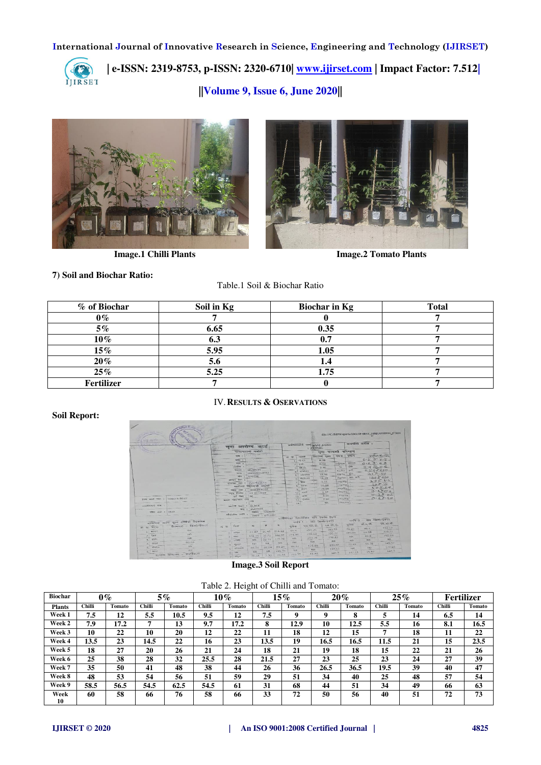

 **| e-ISSN: 2319-8753, p-ISSN: 2320-6710| [www.ijirset.com](http://www.ijirset.com/) | Impact Factor: 7.512|**

**||Volume 9, Issue 6, June 2020||** 





**Image.1 Chilli Plants Image.2 Tomato Plants** 

## **7) Soil and Biochar Ratio:**

Table.1 Soil & Biochar Ratio

| % of Biochar | Soil in Kg | <b>Biochar in Kg</b> | <b>Total</b> |
|--------------|------------|----------------------|--------------|
| $0\%$        |            |                      |              |
| $5\%$        | 6.65       | 0.35                 |              |
| $10\%$       | 6.3        |                      |              |
| $15\%$       | 5.95       | 1.05                 |              |
| $20\%$       | 5.6        |                      |              |
| 25%          | 5.25       | 1.75                 |              |
| Fertilizer   |            |                      |              |

# IV.**RESULTS & OSERVATIONS**

#### **Soil Report:**

| <b>LOS PRESIDEN</b><br><b>AND SQUIPTER</b> |                                         |                               |                                          |                               |                          |            |                      |                      |                                                        |                                                                               |                      |                       |               | file:///C:/MP/Reports/100618-0037_100618221206_C.htm |
|--------------------------------------------|-----------------------------------------|-------------------------------|------------------------------------------|-------------------------------|--------------------------|------------|----------------------|----------------------|--------------------------------------------------------|-------------------------------------------------------------------------------|----------------------|-----------------------|---------------|------------------------------------------------------|
| <b>ALCOHOL: UK</b>                         | <b>Carlos</b>                           | w                             | मूदा आरोग्य कार्ड                        |                               |                          |            |                      |                      | <b>VAIRTING THE STREET FEBRUARY</b><br><b>I GUINIC</b> |                                                                               |                      | अत्यमीणो गारील :      |               |                                                      |
|                                            |                                         | <b>MILLION ISLAND PRINTED</b> |                                          |                               |                          |            |                      |                      |                                                        | मृता चायणी परिणाम                                                             |                      |                       |               |                                                      |
|                                            |                                         |                               | TETHE                                    | <b>SCIENTIST AND ARRESTS</b>  |                          |            | आ क                  | $N \leq 4$           | <b>THORSE MORE</b>                                     |                                                                               | <b>TEMPER</b>        | <b>TERETTI</b>        |               | 7797176177                                           |
|                                            |                                         |                               | <b>TERRIT I</b>                          | <b>CONTRACTOR</b>             |                          |            |                      | 1 diam.              |                                                        | <b>N.70</b>                                                                   |                      |                       | 6.5715        |                                                      |
|                                            |                                         |                               | TEM : 2                                  |                               |                          |            |                      | $281 - 32 + 66$      |                                                        | 0.54                                                                          | $m$ S/cm             | ज्याचारण              | $0.2.7 - 0.8$ |                                                      |
|                                            |                                         |                               | diseller :                               |                               |                          |            |                      | $31$ situals         |                                                        | 0.90                                                                          | $\frac{1}{2}$        | 227                   | 0.9006        |                                                      |
|                                            |                                         |                               |                                          | THEST : JALCON                |                          |            | 21                   | नगरीशन               |                                                        | 245,81                                                                        | Kryha                | $-172$                | 2.508450      |                                                      |
|                                            |                                         |                               |                                          | <b>THE : MAHARAUHTRA</b>      |                          |            | s.                   | <b>INTERNATION</b>   |                                                        | 33.00                                                                         |                      | ROY.<br><b>Kaltin</b> |               | 217.50                                               |
|                                            |                                         |                               |                                          | <b>MM &amp; APSSOC</b>        |                          |            |                      | nd mailenn           |                                                        | 18.35<br>1.11                                                                 |                      | Kg/hs   पार करी       |               | 1800200                                              |
|                                            |                                         |                               | अल्पार नेयर :<br>HIGHER HHE 1 7517510013 |                               |                          |            |                      | $7$ TONK             |                                                        |                                                                               |                      | mg/Kg                 |               | 1.00716                                              |
|                                            |                                         |                               |                                          | गातीच्या मधुण्याची मार्ग्राती |                          |            |                      | B Three              |                                                        | 7.3.00                                                                        | ung nos              |                       |               | 107.15                                               |
|                                            |                                         |                               | лич 44 : 100618-0037                     |                               |                          |            |                      | $-464$<br><b>Kik</b> |                                                        | 96.00                                                                         | ma/ker               |                       |               | 2.0020                                               |
|                                            |                                         |                               | ways feater a un controlso               |                               |                          |            |                      | to, sent             |                                                        | 3.57                                                                          | $m\alpha/\kappa\mu$  |                       |               | 3.4860                                               |
|                                            |                                         |                               | शब्दी नामर : 100                         |                               |                          |            |                      | $21$ with            |                                                        | 3.56                                                                          | <b><i>TTHUNG</i></b> |                       |               | 0.30.05                                              |
| <b>RIPE WILL THE I 100018 0037</b>         |                                         |                               | <b>BENCE THAN STEEL THERE</b>            | <b>Too</b>                    |                          |            |                      | <b>System</b><br>12. |                                                        | 7.20                                                                          | rncs/Ka              |                       |               | 0.67.10                                              |
|                                            |                                         | <b>SHELST SWIFE: BLACK</b>    |                                          |                               |                          |            |                      | $1 - 1$              |                                                        | <b>NA</b>                                                                     | max <sub>0</sub>     |                       |               |                                                      |
| <b>IN THE LITTLE IN</b>                    |                                         |                               |                                          | <b>REPORTS I BOB</b>          |                          |            |                      |                      |                                                        |                                                                               |                      |                       |               |                                                      |
| $4722 - 347 = 14112$ .                     |                                         |                               |                                          |                               | <b>Regist : Jongston</b> |            |                      |                      |                                                        |                                                                               |                      |                       |               |                                                      |
|                                            |                                         |                               | मांगोलीक स्पान                           |                               | SUGET   217040031        |            |                      |                      |                                                        |                                                                               |                      |                       |               |                                                      |
|                                            |                                         |                               |                                          |                               |                          |            |                      |                      |                                                        | फर्तालायक्षर रिकमंत्रीशन फॉर रेफर्रस फिल्म                                    |                      |                       |               | खत मिलो/ऐक्टर                                        |
|                                            | माध्यमिक आणि सूक्ष्य तत्वांची विश्वास्थ |                               |                                          |                               |                          |            |                      |                      |                                                        | $ q\alpha  \leq 1$ - $\overline{q} \overline{q}$ [spector] $\overline{q}$ and |                      | $4444 - 2$            |               | प्रम, क्ये, पी.                                      |
| आ का मदन                                   | शिकारस - मिलो/डेव उर                    |                               | T10                                      | N                             |                          |            | व्यवाया              |                      | एस.घरा.धी.                                             | एम. अपे. भी.                                                                  |                      | वरीया                 | डी.ए.पी.      | 193.53                                               |
| 4.779986                                   | INFR.                                   |                               |                                          |                               | 21 48                    | 116.12     | 94.5                 |                      | 134.25                                                 | 103553                                                                        |                      | 76/23                 | 46.7          | <b>NAME OF GROOM</b><br>320.77                       |
|                                            | rers.                                   |                               | $1 - 27981$                              | 43.47                         |                          | 132.46     | 221.96               |                      | 2.57,60                                                | 320.77                                                                        |                      | 189,88                | 111.08        |                                                      |
| $2$ faus                                   | <b>INFC</b>                             |                               | <b>WHITE</b>                             | 102.10                        | 37.71                    | 125.70     | PdR                  |                      | 243.50                                                 | 292.83                                                                        |                      | NR                    | 49.0          | 202.83<br><b>CONTRACT</b>                            |
| $B = 2/2$                                  | 50.00                                   |                               | <b>NOTES</b>                             | NR                            | 22.91                    |            | ---<br><b>TVH</b>    |                      | <b>COMPANY</b><br><b>NW</b>                            | 740                                                                           |                      | <b>Fare</b>           | <b>TIR</b>    | NR.                                                  |
| $A$ arrest                                 | <b>CANADA</b><br>1431.                  |                               | <b>NEWSLET</b>                           | <b>Tase</b>                   | <b>AIR</b>               | <b>BVR</b> |                      |                      | ---<br>125.98                                          | 140.47                                                                        |                      | 71,43                 | 0.178         | 140.47                                               |
| $5.$ Highs                                 | <b>STAR</b>                             |                               | $x_n$ ) affraverse                       | 10.76                         | 20.14                    | 84.28      | 99.57<br><b>SALE</b> |                      | rase.                                                  | 177.52                                                                        |                      | <b>BARC</b>           | <b>NBC</b>    | 122.52                                               |
| C. MINH                                    | NR.<br><b>CONTRACT</b>                  |                               | $0.1 - 20$                               | NR.                           | NR                       | 100.51     | TOTAL.               |                      |                                                        |                                                                               | 124.3                | 192/19                | 15.87         | 124.3                                                |
|                                            | दव/देव तर<br>सामान्य शिपनारम            |                               | $7$ afiguo.                              | 70.55                         | 7.30.                    | 24.58      | 153.37               |                      | 45.62                                                  |                                                                               |                      |                       |               |                                                      |
|                                            | <b>PER</b>                              |                               |                                          |                               |                          |            |                      |                      |                                                        |                                                                               |                      |                       |               |                                                      |

## **Image.3 Soil Report**

|  | Table 2. Height of Chilli and Tomato: |  |  |
|--|---------------------------------------|--|--|
|--|---------------------------------------|--|--|

| <b>Biochar</b> | $0\%$  |        |               | $5\%$         |               | $10\%$ | $15\%$ |        | 20%    |        | 25%           |        | <b>Fertilizer</b> |        |
|----------------|--------|--------|---------------|---------------|---------------|--------|--------|--------|--------|--------|---------------|--------|-------------------|--------|
| <b>Plants</b>  | Chilli | Tomato | <b>Chilli</b> | <b>Tomato</b> | <b>Chilli</b> | Tomato | Chilli | Tomato | Chilli | Tomato | <b>Chilli</b> | Tomato | Chilli            | Tomato |
| Week 1         | 7.5    | 12     | 5.5           | 10.5          | 9.5           | 12     | 7.5    | 9      | 9      | 8      | 5             | 14     | 6.5               | 14     |
| Week 2         | 7.9    | 17.2   | 7             | 13            | 9.7           | 17.2   | 8      | 12.9   | 10     | 12.5   | 5.5           | 16     | 8.1               | 16.5   |
| Week 3         | 10     | 22     | 10            | 20            | 12            | 22     | 11     | 18     | 12     | 15     | 7             | 18     | 11                | 22     |
| Week 4         | 13.5   | 23     | 14.5          | 22            | 16            | 23     | 13.5   | 19     | 16.5   | 16.5   | 11.5          | 21     | 15                | 23.5   |
| Week 5         | 18     | 27     | 20            | 26            | 21            | 24     | 18     | 21     | 19     | 18     | 15            | 22     | 21                | 26     |
| Week 6         | 25     | 38     | 28            | 32            | 25.5          | 28     | 21.5   | 27     | 23     | 25     | 23            | 24     | 27                | 39     |
| Week 7         | 35     | 50     | 41            | 48            | 38            | 44     | 26     | 36     | 26.5   | 36.5   | 19.5          | 39     | 40                | 47     |
| Week 8         | 48     | 53     | 54            | 56            | 51            | 59     | 29     | 51     | 34     | 40     | 25            | 48     | 57                | 54     |
| Week 9         | 58.5   | 56.5   | 54.5          | 62.5          | 54.5          | 61     | 31     | 68     | 44     | 51     | 34            | 49     | 66                | 63     |
| Week<br>10     | 60     | 58     | 66            | 76            | 58            | 66     | 33     | 72     | 50     | 56     | 40            | 51     | 72                | 73     |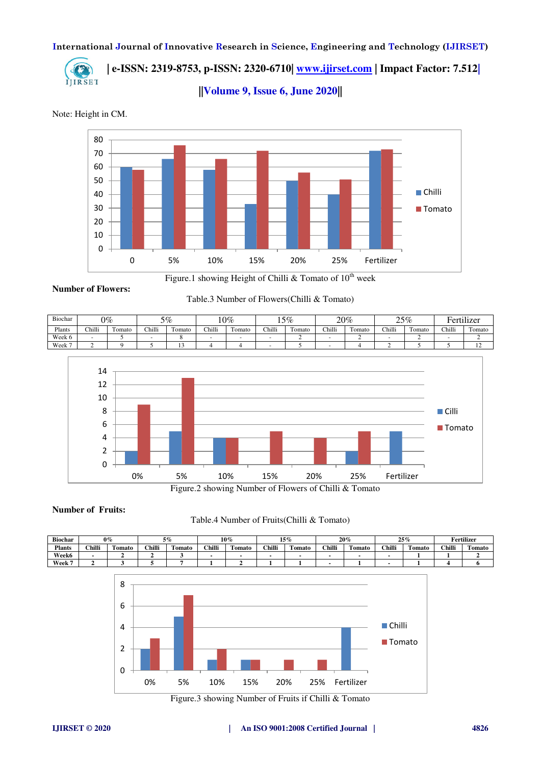

 **| e-ISSN: 2319-8753, p-ISSN: 2320-6710| [www.ijirset.com](http://www.ijirset.com/) | Impact Factor: 7.512|**

**||Volume 9, Issue 6, June 2020||** 

Note: Height in CM.



Figure.1 showing Height of Chilli & Tomato of  $10^{th}$  week

**Number of Flowers:**

Table.3 Number of Flowers(Chilli & Tomato)

| Biochar | $0\%$  |        | 5%     |        | $10\%$ |               | 15%    |        | 20%    |                   | 25%    |                  | <b>Fertilizer</b> |                  |
|---------|--------|--------|--------|--------|--------|---------------|--------|--------|--------|-------------------|--------|------------------|-------------------|------------------|
| Plants  | Chilli | Fomato | Chilli | Tomato | Chilli | <b>Fomato</b> | Chilli | Tomato | Chilli | $\sim$<br>l'omato | Chilli | $\sim$<br>Fomate | Chilli            | $\sim$<br>Tomato |
| Week 6  |        |        |        |        |        |               |        |        |        |                   |        |                  |                   |                  |
| Week 7  |        |        |        |        |        |               |        |        |        |                   |        |                  |                   |                  |



Figure.2 showing Number of Flowers of Chilli & Tomato

#### **Number of Fruits:**

#### Table.4 Number of Fruits(Chilli & Tomato)

| <b>Biochar</b> | $0\%$  |                              | 5%     |              | $10\%$ |        | 15%    |               | 20%    |        | 25%    |                  | Fertilizer |        |
|----------------|--------|------------------------------|--------|--------------|--------|--------|--------|---------------|--------|--------|--------|------------------|------------|--------|
| <b>Plants</b>  | Chilli | <b>CONTRACTOR</b><br>l'omato | Chilli | -<br>l'omato | Chilli | 'omato | Chilli | no.<br>`omato | Chilli | Tomato | Chilli | $\sim$<br>Fomato | Chilli     | Tomato |
| <b>Week6</b>   |        |                              |        |              |        |        |        |               |        |        |        |                  |            |        |
| Week 7         |        |                              |        |              |        |        |        |               |        |        |        |                  |            |        |



Figure.3 showing Number of Fruits if Chilli & Tomato